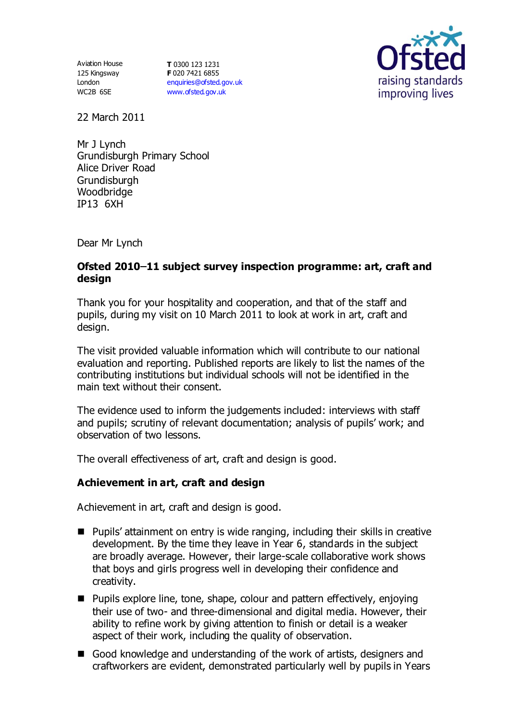Aviation House 125 Kingsway London WC2B 6SE

**T** 0300 123 1231 **F** 020 7421 6855 [enquiries@ofsted.gov.uk](mailto:enquiries@ofsted.gov.uk) [www.ofsted.gov.uk](http://www.ofsted.gov.uk/)



22 March 2011

Mr J Lynch Grundisburgh Primary School Alice Driver Road **Grundisburgh** Woodbridge IP13 6XH

Dear Mr Lynch

# **Ofsted 2010 11 subject survey inspection programme: art, craft and design**

Thank you for your hospitality and cooperation, and that of the staff and pupils, during my visit on 10 March 2011 to look at work in art, craft and design.

The visit provided valuable information which will contribute to our national evaluation and reporting. Published reports are likely to list the names of the contributing institutions but individual schools will not be identified in the main text without their consent.

The evidence used to inform the judgements included: interviews with staff and pupils; scrutiny of relevant documentation; analysis of pupils' work; and observation of two lessons.

The overall effectiveness of art, craft and design is good.

## **Achievement in art, craft and design**

Achievement in art, craft and design is good.

- Pupils' attainment on entry is wide ranging, including their skills in creative development. By the time they leave in Year 6, standards in the subject are broadly average. However, their large-scale collaborative work shows that boys and girls progress well in developing their confidence and creativity.
- Pupils explore line, tone, shape, colour and pattern effectively, enjoying their use of two- and three-dimensional and digital media. However, their ability to refine work by giving attention to finish or detail is a weaker aspect of their work, including the quality of observation.
- Good knowledge and understanding of the work of artists, designers and craftworkers are evident, demonstrated particularly well by pupils in Years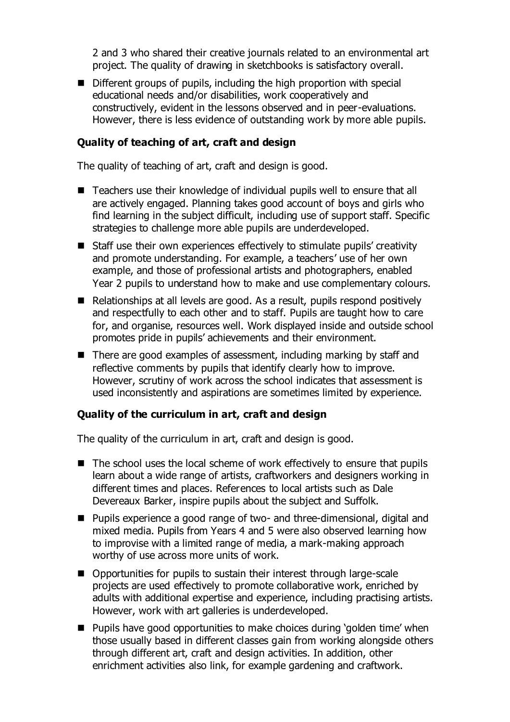2 and 3 who shared their creative journals related to an environmental art project. The quality of drawing in sketchbooks is satisfactory overall.

Different groups of pupils, including the high proportion with special educational needs and/or disabilities, work cooperatively and constructively, evident in the lessons observed and in peer-evaluations. However, there is less evidence of outstanding work by more able pupils.

## **Quality of teaching of art, craft and design**

The quality of teaching of art, craft and design is good.

- Teachers use their knowledge of individual pupils well to ensure that all are actively engaged. Planning takes good account of boys and girls who find learning in the subject difficult, including use of support staff. Specific strategies to challenge more able pupils are underdeveloped.
- Staff use their own experiences effectively to stimulate pupils' creativity and promote understanding. For example, a teachers' use of her own example, and those of professional artists and photographers, enabled Year 2 pupils to understand how to make and use complementary colours.
- Relationships at all levels are good. As a result, pupils respond positively and respectfully to each other and to staff. Pupils are taught how to care for, and organise, resources well. Work displayed inside and outside school promotes pride in pupils' achievements and their environment.
- There are good examples of assessment, including marking by staff and reflective comments by pupils that identify clearly how to improve. However, scrutiny of work across the school indicates that assessment is used inconsistently and aspirations are sometimes limited by experience.

#### **Quality of the curriculum in art, craft and design**

The quality of the curriculum in art, craft and design is good.

- The school uses the local scheme of work effectively to ensure that pupils learn about a wide range of artists, craftworkers and designers working in different times and places. References to local artists such as Dale Devereaux Barker, inspire pupils about the subject and Suffolk.
- Pupils experience a good range of two- and three-dimensional, digital and mixed media. Pupils from Years 4 and 5 were also observed learning how to improvise with a limited range of media, a mark-making approach worthy of use across more units of work.
- Opportunities for pupils to sustain their interest through large-scale projects are used effectively to promote collaborative work, enriched by adults with additional expertise and experience, including practising artists. However, work with art galleries is underdeveloped.
- Pupils have good opportunities to make choices during 'golden time' when those usually based in different classes gain from working alongside others through different art, craft and design activities. In addition, other enrichment activities also link, for example gardening and craftwork.